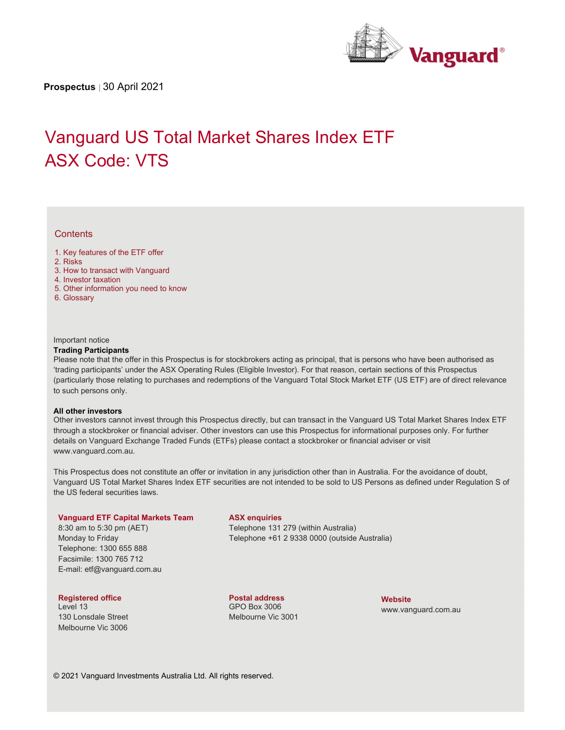

**Prospectus** | 30 April 2021

# Vanguard US Total Market Shares Index ETF ASX Code: VTS

## **Contents**

- 1. Key features of the ETF offer
- 2. Risks
- 3. How to transact with Vanguard
- 4. Investor taxation
- 5. Other information you need to know
- 6. Glossary

#### Important notice

#### **Trading Participants**

Please note that the offer in this Prospectus is for stockbrokers acting as principal, that is persons who have been authorised as 'trading participants' under the ASX Operating Rules (Eligible Investor). For that reason, certain sections of this Prospectus (particularly those relating to purchases and redemptions of the Vanguard Total Stock Market ETF (US ETF) are of direct relevance to such persons only.

#### **All other investors**

Other investors cannot invest through this Prospectus directly, but can transact in the Vanguard US Total Market Shares Index ETF through a stockbroker or financial adviser. Other investors can use this Prospectus for informational purposes only. For further details on Vanguard Exchange Traded Funds (ETFs) please contact a stockbroker or financial adviser or visit www.vanguard.com.au.

This Prospectus does not constitute an offer or invitation in any jurisdiction other than in Australia. For the avoidance of doubt, Vanguard US Total Market Shares Index ETF securities are not intended to be sold to US Persons as defined under Regulation S of the US federal securities laws.

#### **Vanguard ETF Capital Markets Team**

8:30 am to 5:30 pm (AET) Monday to Friday Telephone: 1300 655 888 Facsimile: 1300 765 712 E-mail: etf@vanguard.com.au

## **Registered office**

Level 13 130 Lonsdale Street Melbourne Vic 3006

#### **ASX enquiries**

Telephone 131 279 (within Australia) Telephone +61 2 9338 0000 (outside Australia)

**Postal address**  GPO Box 3006 Melbourne Vic 3001 **Website** www.vanguard.com.au

© 2021 Vanguard Investments Australia Ltd. All rights reserved.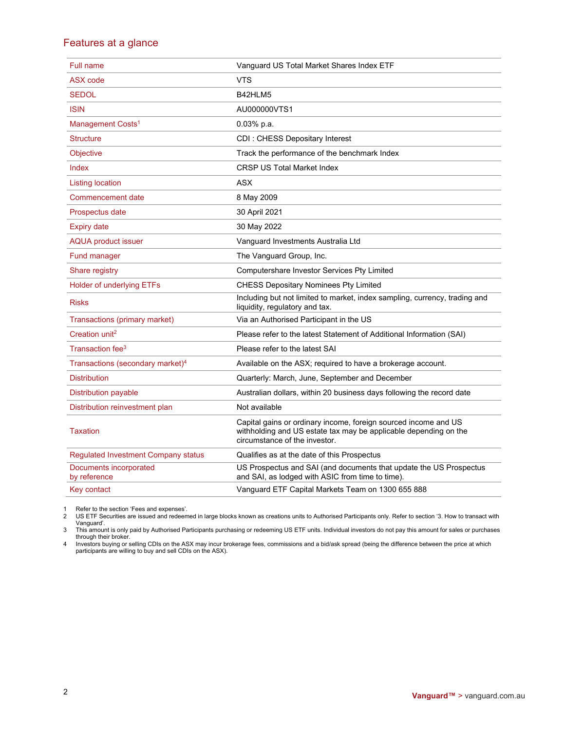# Features at a glance

| Full name                                    | Vanguard US Total Market Shares Index ETF                                                                                                                            |
|----------------------------------------------|----------------------------------------------------------------------------------------------------------------------------------------------------------------------|
| <b>ASX</b> code                              | <b>VTS</b>                                                                                                                                                           |
| <b>SEDOL</b>                                 | B42HLM5                                                                                                                                                              |
| <b>ISIN</b>                                  | AU000000VTS1                                                                                                                                                         |
| Management Costs <sup>1</sup>                | $0.03%$ p.a.                                                                                                                                                         |
| <b>Structure</b>                             | CDI: CHESS Depositary Interest                                                                                                                                       |
| <b>Objective</b>                             | Track the performance of the benchmark Index                                                                                                                         |
| Index                                        | <b>CRSP US Total Market Index</b>                                                                                                                                    |
| <b>Listing location</b>                      | <b>ASX</b>                                                                                                                                                           |
| Commencement date                            | 8 May 2009                                                                                                                                                           |
| Prospectus date                              | 30 April 2021                                                                                                                                                        |
| <b>Expiry date</b>                           | 30 May 2022                                                                                                                                                          |
| <b>AQUA product issuer</b>                   | Vanguard Investments Australia Ltd                                                                                                                                   |
| <b>Fund manager</b>                          | The Vanguard Group, Inc.                                                                                                                                             |
| Share registry                               | Computershare Investor Services Pty Limited                                                                                                                          |
| <b>Holder of underlying ETFs</b>             | <b>CHESS Depositary Nominees Pty Limited</b>                                                                                                                         |
| <b>Risks</b>                                 | Including but not limited to market, index sampling, currency, trading and<br>liquidity, regulatory and tax.                                                         |
| Transactions (primary market)                | Via an Authorised Participant in the US                                                                                                                              |
| Creation unit <sup>2</sup>                   | Please refer to the latest Statement of Additional Information (SAI)                                                                                                 |
| Transaction fee <sup>3</sup>                 | Please refer to the latest SAI                                                                                                                                       |
| Transactions (secondary market) <sup>4</sup> | Available on the ASX; required to have a brokerage account.                                                                                                          |
| <b>Distribution</b>                          | Quarterly: March, June, September and December                                                                                                                       |
| <b>Distribution payable</b>                  | Australian dollars, within 20 business days following the record date                                                                                                |
| Distribution reinvestment plan               | Not available                                                                                                                                                        |
| <b>Taxation</b>                              | Capital gains or ordinary income, foreign sourced income and US<br>withholding and US estate tax may be applicable depending on the<br>circumstance of the investor. |
| Regulated Investment Company status          | Qualifies as at the date of this Prospectus                                                                                                                          |
| Documents incorporated<br>by reference       | US Prospectus and SAI (and documents that update the US Prospectus<br>and SAI, as lodged with ASIC from time to time).                                               |
| Key contact                                  | Vanguard ETF Capital Markets Team on 1300 655 888                                                                                                                    |

1 Refer to the section 'Fees and expenses'. 2 US ETF Securities are issued and redeemed in large blocks known as creations units to Authorised Participants only. Refer to section '3. How to transact with Vanguard'. 3 This amount is only paid by Authorised Participants purchasing or redeeming US ETF units. Individual investors do not pay this amount for sales or purchases

through their broker.<br>4 Investors buying or selling CDIs on the ASX may incur brokerage fees, commissions and a bid/ask spread (being the difference between the price at which<br>participants are willing to buy and sell CDIs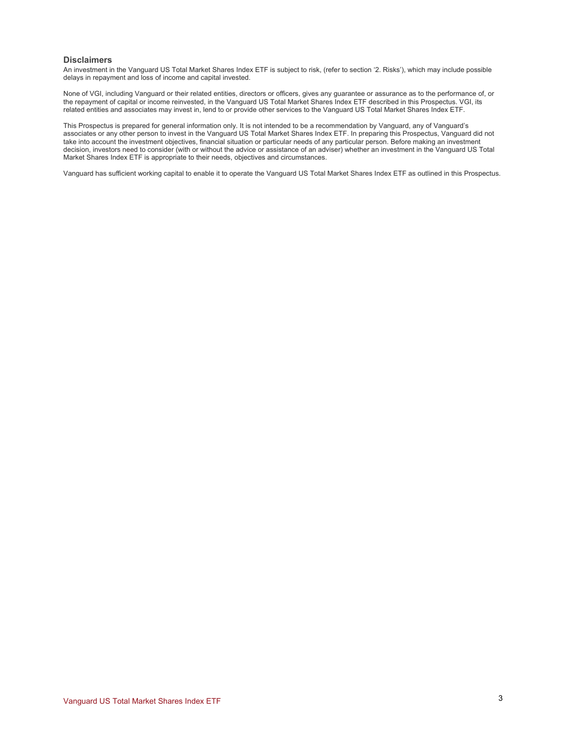#### **Disclaimers**

An investment in the Vanguard US Total Market Shares Index ETF is subject to risk, (refer to section '2. Risks'), which may include possible delays in repayment and loss of income and capital invested.

None of VGI, including Vanguard or their related entities, directors or officers, gives any guarantee or assurance as to the performance of, or the repayment of capital or income reinvested, in the Vanguard US Total Market Shares Index ETF described in this Prospectus. VGI, its related entities and associates may invest in, lend to or provide other services to the Vanguard US Total Market Shares Index ETF.

This Prospectus is prepared for general information only. It is not intended to be a recommendation by Vanguard, any of Vanguard's associates or any other person to invest in the Vanguard US Total Market Shares Index ETF. In preparing this Prospectus, Vanguard did not take into account the investment objectives, financial situation or particular needs of any particular person. Before making an investment decision, investors need to consider (with or without the advice or assistance of an adviser) whether an investment in the Vanguard US Total Market Shares Index ETF is appropriate to their needs, objectives and circumstances.

Vanguard has sufficient working capital to enable it to operate the Vanguard US Total Market Shares Index ETF as outlined in this Prospectus.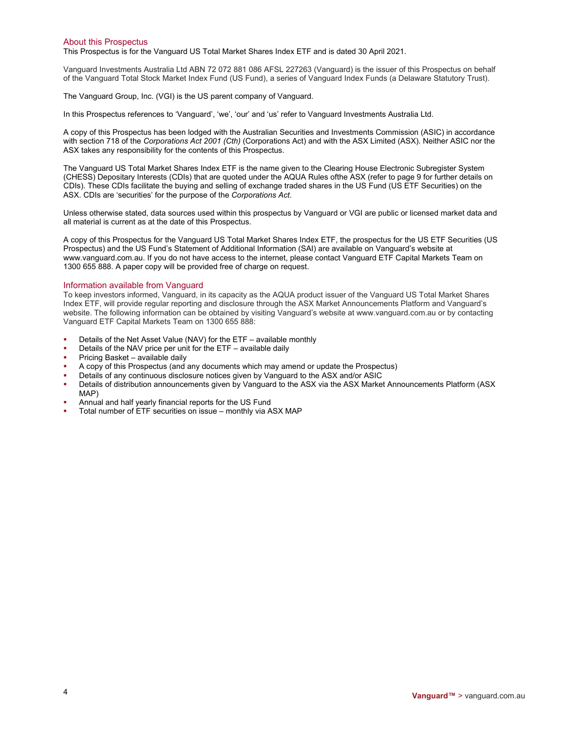#### About this Prospectus

This Prospectus is for the Vanguard US Total Market Shares Index ETF and is dated 30 April 2021.

Vanguard Investments Australia Ltd ABN 72 072 881 086 AFSL 227263 (Vanguard) is the issuer of this Prospectus on behalf of the Vanguard Total Stock Market Index Fund (US Fund), a series of Vanguard Index Funds (a Delaware Statutory Trust).

The Vanguard Group, Inc. (VGI) is the US parent company of Vanguard.

In this Prospectus references to 'Vanguard', 'we', 'our' and 'us' refer to Vanguard Investments Australia Ltd.

A copy of this Prospectus has been lodged with the Australian Securities and Investments Commission (ASIC) in accordance with section 718 of the *Corporations Act 2001 (Cth)* (Corporations Act) and with the ASX Limited (ASX). Neither ASIC nor the ASX takes any responsibility for the contents of this Prospectus.

The Vanguard US Total Market Shares Index ETF is the name given to the Clearing House Electronic Subregister System (CHESS) Depositary Interests (CDIs) that are quoted under the AQUA Rules ofthe ASX (refer to page 9 for further details on CDIs). These CDIs facilitate the buying and selling of exchange traded shares in the US Fund (US ETF Securities) on the ASX. CDIs are 'securities' for the purpose of the *Corporations Act*.

Unless otherwise stated, data sources used within this prospectus by Vanguard or VGI are public or licensed market data and all material is current as at the date of this Prospectus.

A copy of this Prospectus for the Vanguard US Total Market Shares Index ETF, the prospectus for the US ETF Securities (US Prospectus) and the US Fund's Statement of Additional Information (SAI) are available on Vanguard's website at www.vanguard.com.au. If you do not have access to the internet, please contact Vanguard ETF Capital Markets Team on 1300 655 888. A paper copy will be provided free of charge on request.

#### Information available from Vanguard

To keep investors informed, Vanguard, in its capacity as the AQUA product issuer of the Vanguard US Total Market Shares Index ETF, will provide regular reporting and disclosure through the ASX Market Announcements Platform and Vanguard's website. The following information can be obtained by visiting Vanguard's website at www.vanguard.com.au or by contacting Vanguard ETF Capital Markets Team on 1300 655 888:

- Details of the Net Asset Value (NAV) for the ETF available monthly
- Details of the NAV price per unit for the ETF available daily
- Pricing Basket available daily
- A copy of this Prospectus (and any documents which may amend or update the Prospectus)
- Details of any continuous disclosure notices given by Vanguard to the ASX and/or ASIC
- Details of distribution announcements given by Vanguard to the ASX via the ASX Market Announcements Platform (ASX MAP)
- Annual and half yearly financial reports for the US Fund
- Total number of ETF securities on issue monthly via ASX MAP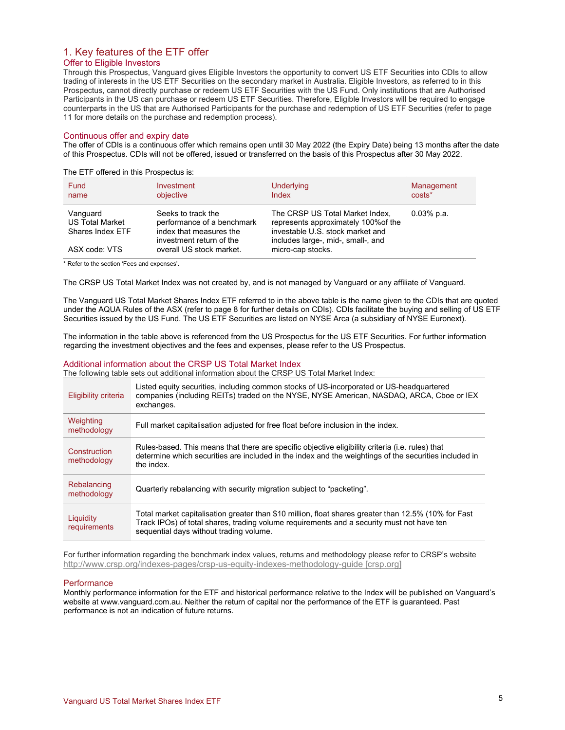#### 1. Key features of the ETF offer Offer to Eligible Investors

Through this Prospectus, Vanguard gives Eligible Investors the opportunity to convert US ETF Securities into CDIs to allow trading of interests in the US ETF Securities on the secondary market in Australia. Eligible Investors, as referred to in this Prospectus, cannot directly purchase or redeem US ETF Securities with the US Fund. Only institutions that are Authorised Participants in the US can purchase or redeem US ETF Securities. Therefore, Eligible Investors will be required to engage counterparts in the US that are Authorised Participants for the purchase and redemption of US ETF Securities (refer to page 11 for more details on the purchase and redemption process).

#### Continuous offer and expiry date

The offer of CDIs is a continuous offer which remains open until 30 May 2022 (the Expiry Date) being 13 months after the date of this Prospectus. CDIs will not be offered, issued or transferred on the basis of this Prospectus after 30 May 2022.

The ETF offered in this Prospectus is:

| Fund<br>name                                           | Investment<br>objective                                                                                 | Underlying<br>Index                                                                                                                               | Management<br>$costs*$ |
|--------------------------------------------------------|---------------------------------------------------------------------------------------------------------|---------------------------------------------------------------------------------------------------------------------------------------------------|------------------------|
| Vanguard<br><b>US Total Market</b><br>Shares Index ETF | Seeks to track the<br>performance of a benchmark<br>index that measures the<br>investment return of the | The CRSP US Total Market Index,<br>represents approximately 100% of the<br>investable U.S. stock market and<br>includes large-, mid-, small-, and | $0.03\%$ p.a.          |
| ASX code: VTS                                          | overall US stock market.                                                                                | micro-cap stocks.                                                                                                                                 |                        |

\* Refer to the section 'Fees and expenses'.

The CRSP US Total Market Index was not created by, and is not managed by Vanguard or any affiliate of Vanguard.

The Vanguard US Total Market Shares Index ETF referred to in the above table is the name given to the CDIs that are quoted under the AQUA Rules of the ASX (refer to page 8 for further details on CDIs). CDIs facilitate the buying and selling of US ETF Securities issued by the US Fund. The US ETF Securities are listed on NYSE Arca (a subsidiary of NYSE Euronext).

The information in the table above is referenced from the US Prospectus for the US ETF Securities. For further information regarding the investment objectives and the fees and expenses, please refer to the US Prospectus.

#### Additional information about the CRSP US Total Market Index

The following table sets out additional information about the CRSP US Total Market Index:

| Eligibility criteria        | Listed equity securities, including common stocks of US-incorporated or US-headquartered<br>companies (including REITs) traded on the NYSE, NYSE American, NASDAQ, ARCA, Cboe or IEX<br>exchanges.                                           |
|-----------------------------|----------------------------------------------------------------------------------------------------------------------------------------------------------------------------------------------------------------------------------------------|
| Weighting<br>methodology    | Full market capitalisation adjusted for free float before inclusion in the index.                                                                                                                                                            |
| Construction<br>methodology | Rules-based. This means that there are specific objective eligibility criteria (i.e. rules) that<br>determine which securities are included in the index and the weightings of the securities included in<br>the index.                      |
| Rebalancing<br>methodology  | Quarterly rebalancing with security migration subject to "packeting".                                                                                                                                                                        |
| Liquidity<br>requirements   | Total market capitalisation greater than \$10 million, float shares greater than 12.5% (10% for Fast<br>Track IPOs) of total shares, trading volume requirements and a security must not have ten<br>sequential days without trading volume. |

For further information regarding the benchmark index values, returns and methodology please refer to CRSP's website http://www.crsp.org/indexes-pages/crsp-us-equity-indexes-methodology-guide [crsp.org]

#### **Performance**

Monthly performance information for the ETF and historical performance relative to the Index will be published on Vanguard's website at www.vanguard.com.au. Neither the return of capital nor the performance of the ETF is guaranteed. Past performance is not an indication of future returns.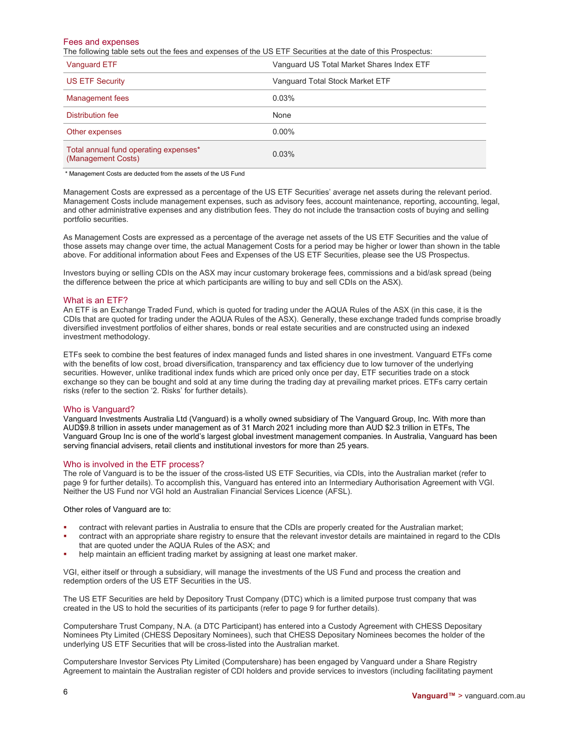#### Fees and expenses

The following table sets out the fees and expenses of the US ETF Securities at the date of this Prospectus:

| Vanguard ETF                                                | Vanguard US Total Market Shares Index ETF |
|-------------------------------------------------------------|-------------------------------------------|
| <b>US ETF Security</b>                                      | Vanguard Total Stock Market ETF           |
| Management fees                                             | 0.03%                                     |
| Distribution fee                                            | None                                      |
| Other expenses                                              | $0.00\%$                                  |
| Total annual fund operating expenses*<br>(Management Costs) | 0.03%                                     |

\* Management Costs are deducted from the assets of the US Fund

Management Costs are expressed as a percentage of the US ETF Securities' average net assets during the relevant period. Management Costs include management expenses, such as advisory fees, account maintenance, reporting, accounting, legal, and other administrative expenses and any distribution fees. They do not include the transaction costs of buying and selling portfolio securities.

As Management Costs are expressed as a percentage of the average net assets of the US ETF Securities and the value of those assets may change over time, the actual Management Costs for a period may be higher or lower than shown in the table above. For additional information about Fees and Expenses of the US ETF Securities, please see the US Prospectus.

Investors buying or selling CDIs on the ASX may incur customary brokerage fees, commissions and a bid/ask spread (being the difference between the price at which participants are willing to buy and sell CDIs on the ASX).

#### What is an ETF?

An ETF is an Exchange Traded Fund, which is quoted for trading under the AQUA Rules of the ASX (in this case, it is the CDIs that are quoted for trading under the AQUA Rules of the ASX). Generally, these exchange traded funds comprise broadly diversified investment portfolios of either shares, bonds or real estate securities and are constructed using an indexed investment methodology.

ETFs seek to combine the best features of index managed funds and listed shares in one investment. Vanguard ETFs come with the benefits of low cost, broad diversification, transparency and tax efficiency due to low turnover of the underlying securities. However, unlike traditional index funds which are priced only once per day, ETF securities trade on a stock exchange so they can be bought and sold at any time during the trading day at prevailing market prices. ETFs carry certain risks (refer to the section '2. Risks' for further details).

#### Who is Vanguard?

Vanguard Investments Australia Ltd (Vanguard) is a wholly owned subsidiary of The Vanguard Group, Inc. With more than AUD\$9.8 trillion in assets under management as of 31 March 2021 including more than AUD \$2.3 trillion in ETFs, The Vanguard Group Inc is one of the world's largest global investment management companies. In Australia, Vanguard has been serving financial advisers, retail clients and institutional investors for more than 25 years.

#### Who is involved in the ETF process?

The role of Vanguard is to be the issuer of the cross-listed US ETF Securities, via CDIs, into the Australian market (refer to page 9 for further details). To accomplish this, Vanguard has entered into an Intermediary Authorisation Agreement with VGI. Neither the US Fund nor VGI hold an Australian Financial Services Licence (AFSL).

Other roles of Vanguard are to:

- contract with relevant parties in Australia to ensure that the CDIs are properly created for the Australian market;
- contract with an appropriate share registry to ensure that the relevant investor details are maintained in regard to the CDIs that are quoted under the AQUA Rules of the ASX; and
- help maintain an efficient trading market by assigning at least one market maker.

VGI, either itself or through a subsidiary, will manage the investments of the US Fund and process the creation and redemption orders of the US ETF Securities in the US.

The US ETF Securities are held by Depository Trust Company (DTC) which is a limited purpose trust company that was created in the US to hold the securities of its participants (refer to page 9 for further details).

Computershare Trust Company, N.A. (a DTC Participant) has entered into a Custody Agreement with CHESS Depositary Nominees Pty Limited (CHESS Depositary Nominees), such that CHESS Depositary Nominees becomes the holder of the underlying US ETF Securities that will be cross-listed into the Australian market.

Computershare Investor Services Pty Limited (Computershare) has been engaged by Vanguard under a Share Registry Agreement to maintain the Australian register of CDI holders and provide services to investors (including facilitating payment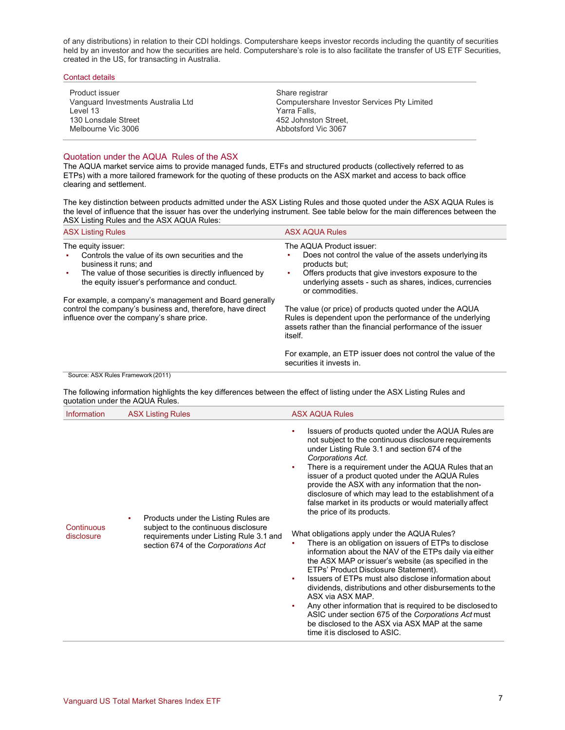of any distributions) in relation to their CDI holdings. Computershare keeps investor records including the quantity of securities held by an investor and how the securities are held. Computershare's role is to also facilitate the transfer of US ETF Securities, created in the US, for transacting in Australia.

| Product issuer<br>Vanguard Investments Australia Ltd<br>Level 13 | Share registrar<br>Computershare Investor Services Pty Limited<br>Yarra Falls. |  |
|------------------------------------------------------------------|--------------------------------------------------------------------------------|--|
| 130 Lonsdale Street<br>Melbourne Vic 3006                        | 452 Johnston Street.<br>Abbotsford Vic 3067                                    |  |
|                                                                  |                                                                                |  |

#### Quotation under the AQUA Rules of the ASX

Contact details

The AQUA market service aims to provide managed funds, ETFs and structured products (collectively referred to as ETPs) with a more tailored framework for the quoting of these products on the ASX market and access to back office clearing and settlement.

The key distinction between products admitted under the ASX Listing Rules and those quoted under the ASX AQUA Rules is the level of influence that the issuer has over the underlying instrument. See table below for the main differences between the ASX Listing Rules and the ASX AQUA Rules:

| <b>ASX Listing Rules</b>                                                                                                                                                                                         | <b>ASX AQUA Rules</b>                                                                                                                                                                                                                           |
|------------------------------------------------------------------------------------------------------------------------------------------------------------------------------------------------------------------|-------------------------------------------------------------------------------------------------------------------------------------------------------------------------------------------------------------------------------------------------|
| The equity issuer:<br>Controls the value of its own securities and the<br>business it runs; and<br>The value of those securities is directly influenced by<br>п.<br>the equity issuer's performance and conduct. | The AQUA Product issuer:<br>Does not control the value of the assets underlying its<br>products but:<br>Offers products that give investors exposure to the<br>٠.<br>underlying assets - such as shares, indices, currencies<br>or commodities. |
| For example, a company's management and Board generally<br>control the company's business and, therefore, have direct<br>influence over the company's share price.                                               | The value (or price) of products quoted under the AQUA<br>Rules is dependent upon the performance of the underlying<br>assets rather than the financial performance of the issuer<br>itself.                                                    |
|                                                                                                                                                                                                                  | For example, an ETP issuer does not control the value of the<br>securities it invests in.                                                                                                                                                       |
| Course: ACV Dulge Framowerk (2011)                                                                                                                                                                               |                                                                                                                                                                                                                                                 |

Source: ASX Rules Framework (2011)

The following information highlights the key differences between the effect of listing under the ASX Listing Rules and quotation under the AQUA Rules.

| Information              | <b>ASX Listing Rules</b>                                                                                                                                            | <b>ASX AQUA Rules</b>                                                                                                                                                                                                                                                                                                                                                                                                                                                                                                                                                                                                                                                                                                                                                                                                                                                                                                                                                                                                                                                                                                   |
|--------------------------|---------------------------------------------------------------------------------------------------------------------------------------------------------------------|-------------------------------------------------------------------------------------------------------------------------------------------------------------------------------------------------------------------------------------------------------------------------------------------------------------------------------------------------------------------------------------------------------------------------------------------------------------------------------------------------------------------------------------------------------------------------------------------------------------------------------------------------------------------------------------------------------------------------------------------------------------------------------------------------------------------------------------------------------------------------------------------------------------------------------------------------------------------------------------------------------------------------------------------------------------------------------------------------------------------------|
| Continuous<br>disclosure | Products under the Listing Rules are<br>٠<br>subject to the continuous disclosure<br>requirements under Listing Rule 3.1 and<br>section 674 of the Corporations Act | Issuers of products quoted under the AQUA Rules are<br>not subject to the continuous disclosure requirements<br>under Listing Rule 3.1 and section 674 of the<br>Corporations Act.<br>There is a requirement under the AQUA Rules that an<br>issuer of a product quoted under the AQUA Rules<br>provide the ASX with any information that the non-<br>disclosure of which may lead to the establishment of a<br>false market in its products or would materially affect<br>the price of its products.<br>What obligations apply under the AQUA Rules?<br>There is an obligation on issuers of ETPs to disclose<br>information about the NAV of the ETPs daily via either<br>the ASX MAP or issuer's website (as specified in the<br>ETPs' Product Disclosure Statement).<br>Issuers of ETPs must also disclose information about<br>dividends, distributions and other disbursements to the<br>ASX via ASX MAP.<br>Any other information that is required to be disclosed to<br>ASIC under section 675 of the Corporations Act must<br>be disclosed to the ASX via ASX MAP at the same<br>time it is disclosed to ASIC. |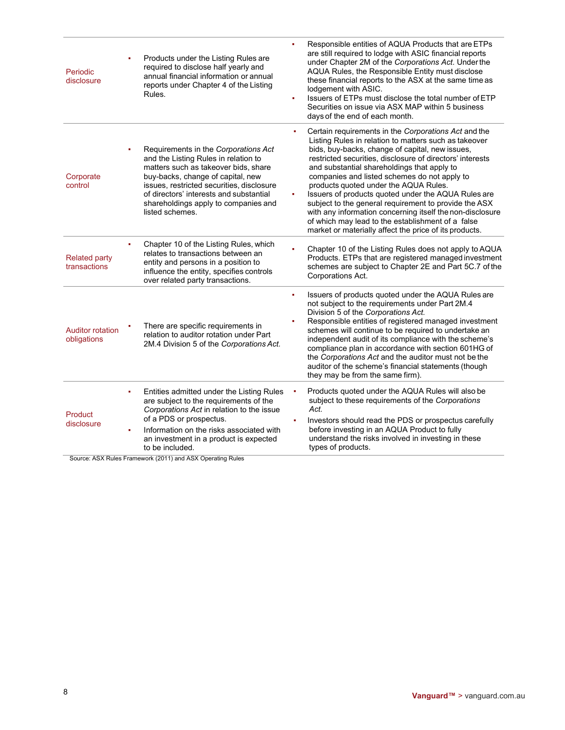| Periodic<br>disclosure                 | Products under the Listing Rules are<br>required to disclose half yearly and<br>annual financial information or annual<br>reports under Chapter 4 of the Listing<br>Rules.                                                                                                                                        | Responsible entities of AQUA Products that are ETPs<br>ä,<br>are still required to lodge with ASIC financial reports<br>under Chapter 2M of the Corporations Act. Under the<br>AQUA Rules, the Responsible Entity must disclose<br>these financial reports to the ASX at the same time as<br>lodgement with ASIC.<br>Issuers of ETPs must disclose the total number of ETP<br>ä.<br>Securities on issue via ASX MAP within 5 business<br>days of the end of each month.                                                                                                                                                                                                     |
|----------------------------------------|-------------------------------------------------------------------------------------------------------------------------------------------------------------------------------------------------------------------------------------------------------------------------------------------------------------------|-----------------------------------------------------------------------------------------------------------------------------------------------------------------------------------------------------------------------------------------------------------------------------------------------------------------------------------------------------------------------------------------------------------------------------------------------------------------------------------------------------------------------------------------------------------------------------------------------------------------------------------------------------------------------------|
| Corporate<br>control                   | Requirements in the Corporations Act<br>٠<br>and the Listing Rules in relation to<br>matters such as takeover bids, share<br>buy-backs, change of capital, new<br>issues, restricted securities, disclosure<br>of directors' interests and substantial<br>shareholdings apply to companies and<br>listed schemes. | Certain requirements in the Corporations Act and the<br>٠<br>Listing Rules in relation to matters such as takeover<br>bids, buy-backs, change of capital, new issues,<br>restricted securities, disclosure of directors' interests<br>and substantial shareholdings that apply to<br>companies and listed schemes do not apply to<br>products quoted under the AQUA Rules.<br>Issuers of products quoted under the AQUA Rules are<br>٠<br>subject to the general requirement to provide the ASX<br>with any information concerning itself the non-disclosure<br>of which may lead to the establishment of a false<br>market or materially affect the price of its products. |
| <b>Related party</b><br>transactions   | Chapter 10 of the Listing Rules, which<br>٠<br>relates to transactions between an<br>entity and persons in a position to<br>influence the entity, specifies controls<br>over related party transactions.                                                                                                          | Chapter 10 of the Listing Rules does not apply to AQUA<br>Products. ETPs that are registered managed investment<br>schemes are subject to Chapter 2E and Part 5C.7 of the<br>Corporations Act.                                                                                                                                                                                                                                                                                                                                                                                                                                                                              |
| <b>Auditor rotation</b><br>obligations | There are specific requirements in<br>relation to auditor rotation under Part<br>2M.4 Division 5 of the Corporations Act.                                                                                                                                                                                         | Issuers of products quoted under the AQUA Rules are<br>ä,<br>not subject to the requirements under Part 2M.4<br>Division 5 of the Corporations Act.<br>Responsible entities of registered managed investment<br>schemes will continue to be required to undertake an<br>independent audit of its compliance with the scheme's<br>compliance plan in accordance with section 601HG of<br>the Corporations Act and the auditor must not be the<br>auditor of the scheme's financial statements (though<br>they may be from the same firm).                                                                                                                                    |
| Product<br>disclosure                  | Entities admitted under the Listing Rules<br>٠<br>are subject to the requirements of the<br>Corporations Act in relation to the issue<br>of a PDS or prospectus.<br>Information on the risks associated with<br>٠<br>an investment in a product is expected<br>to be included.                                    | Products quoted under the AQUA Rules will also be<br>subject to these requirements of the Corporations<br>Act.<br>Investors should read the PDS or prospectus carefully<br>before investing in an AQUA Product to fully<br>understand the risks involved in investing in these<br>types of products.                                                                                                                                                                                                                                                                                                                                                                        |

Source: ASX Rules Framework (2011) and ASX Operating Rules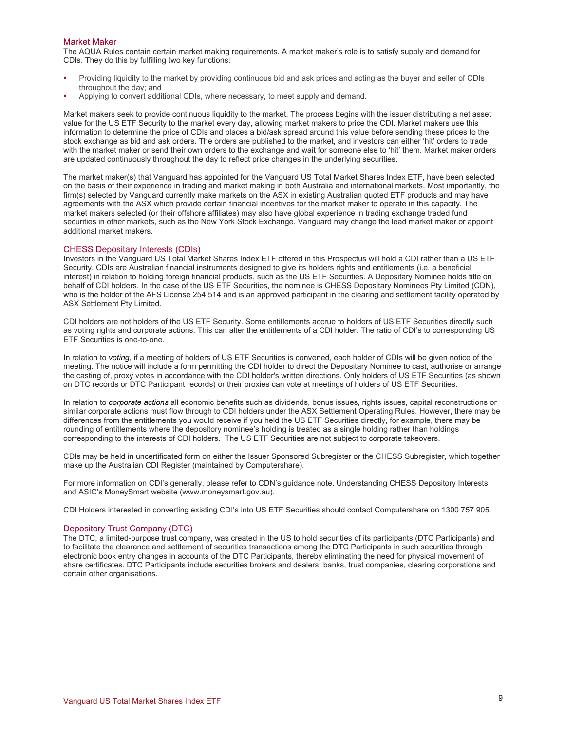#### Market Maker

The AQUA Rules contain certain market making requirements. A market maker's role is to satisfy supply and demand for CDIs. They do this by fulfilling two key functions:

- Providing liquidity to the market by providing continuous bid and ask prices and acting as the buyer and seller of CDIs throughout the day; and
- Applying to convert additional CDIs, where necessary, to meet supply and demand.

Market makers seek to provide continuous liquidity to the market. The process begins with the issuer distributing a net asset value for the US ETF Security to the market every day, allowing market makers to price the CDI. Market makers use this information to determine the price of CDIs and places a bid/ask spread around this value before sending these prices to the stock exchange as bid and ask orders. The orders are published to the market, and investors can either 'hit' orders to trade with the market maker or send their own orders to the exchange and wait for someone else to 'hit' them. Market maker orders are updated continuously throughout the day to reflect price changes in the underlying securities.

The market maker(s) that Vanguard has appointed for the Vanguard US Total Market Shares Index ETF, have been selected on the basis of their experience in trading and market making in both Australia and international markets. Most importantly, the firm(s) selected by Vanguard currently make markets on the ASX in existing Australian quoted ETF products and may have agreements with the ASX which provide certain financial incentives for the market maker to operate in this capacity. The market makers selected (or their offshore affiliates) may also have global experience in trading exchange traded fund securities in other markets, such as the New York Stock Exchange. Vanguard may change the lead market maker or appoint additional market makers.

#### CHESS Depositary Interests (CDIs)

Investors in the Vanguard US Total Market Shares Index ETF offered in this Prospectus will hold a CDI rather than a US ETF Security. CDIs are Australian financial instruments designed to give its holders rights and entitlements (i.e. a beneficial interest) in relation to holding foreign financial products, such as the US ETF Securities. A Depositary Nominee holds title on behalf of CDI holders. In the case of the US ETF Securities, the nominee is CHESS Depositary Nominees Pty Limited (CDN), who is the holder of the AFS License 254 514 and is an approved participant in the clearing and settlement facility operated by ASX Settlement Pty Limited.

CDI holders are not holders of the US ETF Security. Some entitlements accrue to holders of US ETF Securities directly such as voting rights and corporate actions. This can alter the entitlements of a CDI holder. The ratio of CDI's to corresponding US ETF Securities is one-to-one.

In relation to *voting*, if a meeting of holders of US ETF Securities is convened, each holder of CDIs will be given notice of the meeting. The notice will include a form permitting the CDI holder to direct the Depositary Nominee to cast, authorise or arrange the casting of, proxy votes in accordance with the CDI holder's written directions. Only holders of US ETF Securities (as shown on DTC records or DTC Participant records) or their proxies can vote at meetings of holders of US ETF Securities.

In relation to *corporate actions* all economic benefits such as dividends, bonus issues, rights issues, capital reconstructions or similar corporate actions must flow through to CDI holders under the ASX Settlement Operating Rules. However, there may be differences from the entitlements you would receive if you held the US ETF Securities directly, for example, there may be rounding of entitlements where the depository nominee's holding is treated as a single holding rather than holdings corresponding to the interests of CDI holders. The US ETF Securities are not subject to corporate takeovers.

CDIs may be held in uncertificated form on either the Issuer Sponsored Subregister or the CHESS Subregister, which together make up the Australian CDI Register (maintained by Computershare).

For more information on CDI's generally, please refer to CDN's guidance note. Understanding CHESS Depository Interests and ASIC's MoneySmart website (www.moneysmart.gov.au).

CDI Holders interested in converting existing CDI's into US ETF Securities should contact Computershare on 1300 757 905.

#### Depository Trust Company (DTC)

The DTC, a limited-purpose trust company, was created in the US to hold securities of its participants (DTC Participants) and to facilitate the clearance and settlement of securities transactions among the DTC Participants in such securities through electronic book entry changes in accounts of the DTC Participants, thereby eliminating the need for physical movement of share certificates. DTC Participants include securities brokers and dealers, banks, trust companies, clearing corporations and certain other organisations.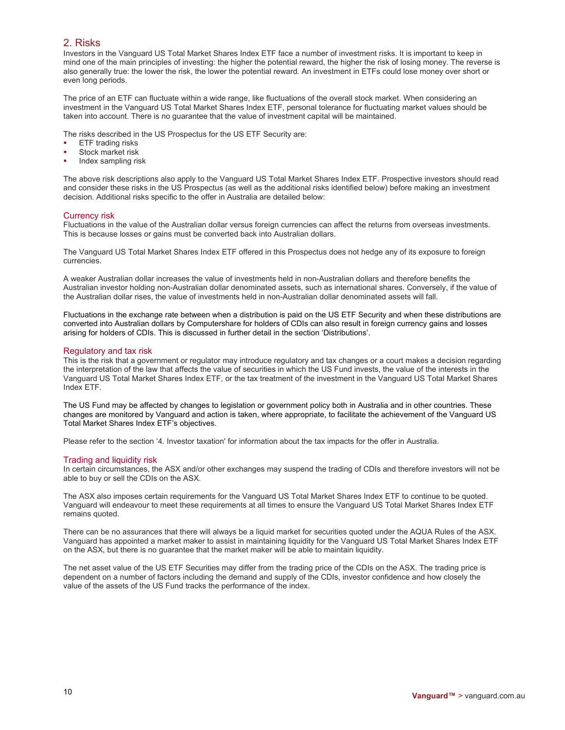## 2. Risks

Investors in the Vanguard US Total Market Shares Index ETF face a number of investment risks. It is important to keep in mind one of the main principles of investing: the higher the potential reward, the higher the risk of losing money. The reverse is also generally true: the lower the risk, the lower the potential reward. An investment in ETFs could lose money over short or even long periods.

The price of an ETF can fluctuate within a wide range, like fluctuations of the overall stock market. When considering an investment in the Vanguard US Total Market Shares Index ETF, personal tolerance for fluctuating market values should be taken into account. There is no guarantee that the value of investment capital will be maintained.

The risks described in the US Prospectus for the US ETF Security are:

- ETF trading risks
- Stock market risk
- Index sampling risk

The above risk descriptions also apply to the Vanguard US Total Market Shares Index ETF. Prospective investors should read and consider these risks in the US Prospectus (as well as the additional risks identified below) before making an investment decision. Additional risks specific to the offer in Australia are detailed below:

#### Currency risk

Fluctuations in the value of the Australian dollar versus foreign currencies can affect the returns from overseas investments. This is because losses or gains must be converted back into Australian dollars.

The Vanguard US Total Market Shares Index ETF offered in this Prospectus does not hedge any of its exposure to foreign currencies.

A weaker Australian dollar increases the value of investments held in non-Australian dollars and therefore benefits the Australian investor holding non-Australian dollar denominated assets, such as international shares. Conversely, if the value of the Australian dollar rises, the value of investments held in non-Australian dollar denominated assets will fall.

Fluctuations in the exchange rate between when a distribution is paid on the US ETF Security and when these distributions are converted into Australian dollars by Computershare for holders of CDIs can also result in foreign currency gains and losses arising for holders of CDIs. This is discussed in further detail in the section 'Distributions'.

#### Regulatory and tax risk

This is the risk that a government or regulator may introduce regulatory and tax changes or a court makes a decision regarding the interpretation of the law that affects the value of securities in which the US Fund invests, the value of the interests in the Vanguard US Total Market Shares Index ETF, or the tax treatment of the investment in the Vanguard US Total Market Shares Index ETF.

The US Fund may be affected by changes to legislation or government policy both in Australia and in other countries. These changes are monitored by Vanguard and action is taken, where appropriate, to facilitate the achievement of the Vanguard US Total Market Shares Index ETF's objectives.

Please refer to the section '4. Investor taxation' for information about the tax impacts for the offer in Australia.

#### Trading and liquidity risk

In certain circumstances, the ASX and/or other exchanges may suspend the trading of CDIs and therefore investors will not be able to buy or sell the CDIs on the ASX.

The ASX also imposes certain requirements for the Vanguard US Total Market Shares Index ETF to continue to be quoted. Vanguard will endeavour to meet these requirements at all times to ensure the Vanguard US Total Market Shares Index ETF remains quoted.

There can be no assurances that there will always be a liquid market for securities quoted under the AQUA Rules of the ASX. Vanguard has appointed a market maker to assist in maintaining liquidity for the Vanguard US Total Market Shares Index ETF on the ASX, but there is no guarantee that the market maker will be able to maintain liquidity.

The net asset value of the US ETF Securities may differ from the trading price of the CDIs on the ASX. The trading price is dependent on a number of factors including the demand and supply of the CDIs, investor confidence and how closely the value of the assets of the US Fund tracks the performance of the index.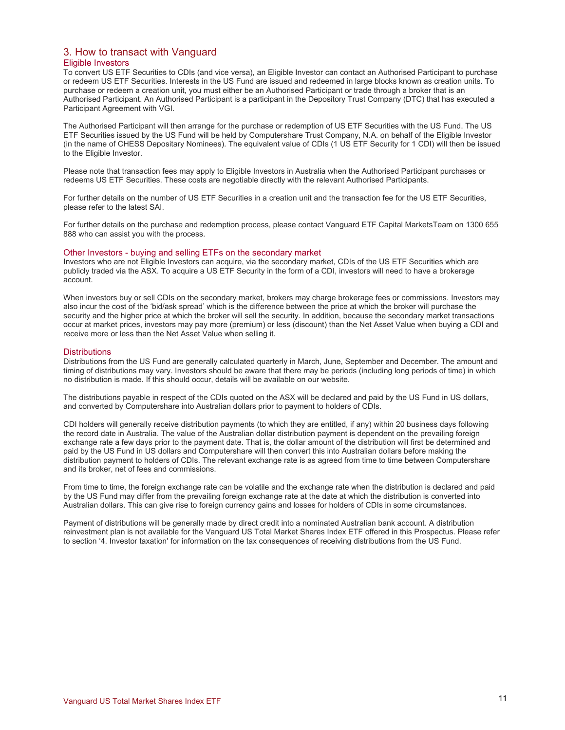## 3. How to transact with Vanguard Eligible Investors

To convert US ETF Securities to CDIs (and vice versa), an Eligible Investor can contact an Authorised Participant to purchase or redeem US ETF Securities. Interests in the US Fund are issued and redeemed in large blocks known as creation units. To purchase or redeem a creation unit, you must either be an Authorised Participant or trade through a broker that is an Authorised Participant. An Authorised Participant is a participant in the Depository Trust Company (DTC) that has executed a Participant Agreement with VGI.

The Authorised Participant will then arrange for the purchase or redemption of US ETF Securities with the US Fund. The US ETF Securities issued by the US Fund will be held by Computershare Trust Company, N.A. on behalf of the Eligible Investor (in the name of CHESS Depositary Nominees). The equivalent value of CDIs (1 US ETF Security for 1 CDI) will then be issued to the Eligible Investor.

Please note that transaction fees may apply to Eligible Investors in Australia when the Authorised Participant purchases or redeems US ETF Securities. These costs are negotiable directly with the relevant Authorised Participants.

For further details on the number of US ETF Securities in a creation unit and the transaction fee for the US ETF Securities, please refer to the latest SAI.

For further details on the purchase and redemption process, please contact Vanguard ETF Capital MarketsTeam on 1300 655 888 who can assist you with the process.

#### Other Investors - buying and selling ETFs on the secondary market

Investors who are not Eligible Investors can acquire, via the secondary market, CDIs of the US ETF Securities which are publicly traded via the ASX. To acquire a US ETF Security in the form of a CDI, investors will need to have a brokerage account.

When investors buy or sell CDIs on the secondary market, brokers may charge brokerage fees or commissions. Investors may also incur the cost of the 'bid/ask spread' which is the difference between the price at which the broker will purchase the security and the higher price at which the broker will sell the security. In addition, because the secondary market transactions occur at market prices, investors may pay more (premium) or less (discount) than the Net Asset Value when buying a CDI and receive more or less than the Net Asset Value when selling it.

#### **Distributions**

Distributions from the US Fund are generally calculated quarterly in March, June, September and December. The amount and timing of distributions may vary. Investors should be aware that there may be periods (including long periods of time) in which no distribution is made. If this should occur, details will be available on our website.

The distributions payable in respect of the CDIs quoted on the ASX will be declared and paid by the US Fund in US dollars, and converted by Computershare into Australian dollars prior to payment to holders of CDIs.

CDI holders will generally receive distribution payments (to which they are entitled, if any) within 20 business days following the record date in Australia. The value of the Australian dollar distribution payment is dependent on the prevailing foreign exchange rate a few days prior to the payment date. That is, the dollar amount of the distribution will first be determined and paid by the US Fund in US dollars and Computershare will then convert this into Australian dollars before making the distribution payment to holders of CDIs. The relevant exchange rate is as agreed from time to time between Computershare and its broker, net of fees and commissions.

From time to time, the foreign exchange rate can be volatile and the exchange rate when the distribution is declared and paid by the US Fund may differ from the prevailing foreign exchange rate at the date at which the distribution is converted into Australian dollars. This can give rise to foreign currency gains and losses for holders of CDIs in some circumstances.

Payment of distributions will be generally made by direct credit into a nominated Australian bank account. A distribution reinvestment plan is not available for the Vanguard US Total Market Shares Index ETF offered in this Prospectus. Please refer to section '4. Investor taxation' for information on the tax consequences of receiving distributions from the US Fund.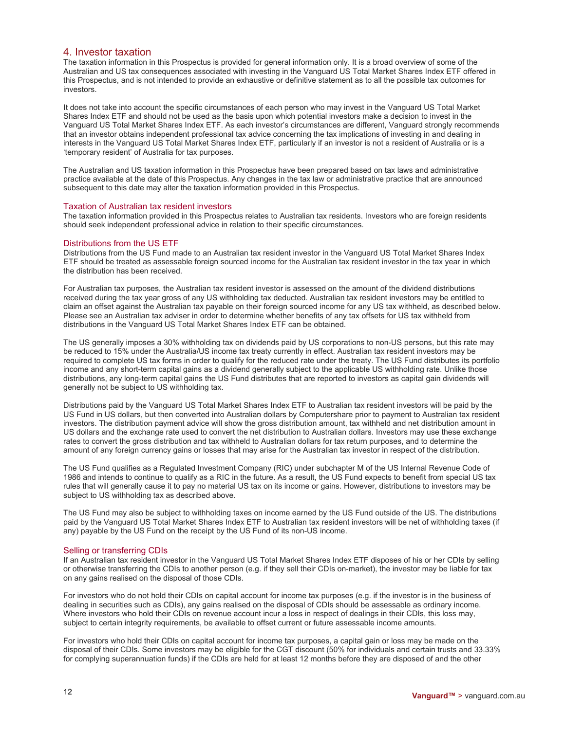## 4. Investor taxation

The taxation information in this Prospectus is provided for general information only. It is a broad overview of some of the Australian and US tax consequences associated with investing in the Vanguard US Total Market Shares Index ETF offered in this Prospectus, and is not intended to provide an exhaustive or definitive statement as to all the possible tax outcomes for investors.

It does not take into account the specific circumstances of each person who may invest in the Vanguard US Total Market Shares Index ETF and should not be used as the basis upon which potential investors make a decision to invest in the Vanguard US Total Market Shares Index ETF. As each investor's circumstances are different, Vanguard strongly recommends that an investor obtains independent professional tax advice concerning the tax implications of investing in and dealing in interests in the Vanguard US Total Market Shares Index ETF, particularly if an investor is not a resident of Australia or is a 'temporary resident' of Australia for tax purposes.

The Australian and US taxation information in this Prospectus have been prepared based on tax laws and administrative practice available at the date of this Prospectus. Any changes in the tax law or administrative practice that are announced subsequent to this date may alter the taxation information provided in this Prospectus.

#### Taxation of Australian tax resident investors

The taxation information provided in this Prospectus relates to Australian tax residents. Investors who are foreign residents should seek independent professional advice in relation to their specific circumstances.

#### Distributions from the US ETF

Distributions from the US Fund made to an Australian tax resident investor in the Vanguard US Total Market Shares Index ETF should be treated as assessable foreign sourced income for the Australian tax resident investor in the tax year in which the distribution has been received.

For Australian tax purposes, the Australian tax resident investor is assessed on the amount of the dividend distributions received during the tax year gross of any US withholding tax deducted. Australian tax resident investors may be entitled to claim an offset against the Australian tax payable on their foreign sourced income for any US tax withheld, as described below. Please see an Australian tax adviser in order to determine whether benefits of any tax offsets for US tax withheld from distributions in the Vanguard US Total Market Shares Index ETF can be obtained.

The US generally imposes a 30% withholding tax on dividends paid by US corporations to non-US persons, but this rate may be reduced to 15% under the Australia/US income tax treaty currently in effect. Australian tax resident investors may be required to complete US tax forms in order to qualify for the reduced rate under the treaty. The US Fund distributes its portfolio income and any short-term capital gains as a dividend generally subject to the applicable US withholding rate. Unlike those distributions, any long-term capital gains the US Fund distributes that are reported to investors as capital gain dividends will generally not be subject to US withholding tax.

Distributions paid by the Vanguard US Total Market Shares Index ETF to Australian tax resident investors will be paid by the US Fund in US dollars, but then converted into Australian dollars by Computershare prior to payment to Australian tax resident investors. The distribution payment advice will show the gross distribution amount, tax withheld and net distribution amount in US dollars and the exchange rate used to convert the net distribution to Australian dollars. Investors may use these exchange rates to convert the gross distribution and tax withheld to Australian dollars for tax return purposes, and to determine the amount of any foreign currency gains or losses that may arise for the Australian tax investor in respect of the distribution.

The US Fund qualifies as a Regulated Investment Company (RIC) under subchapter M of the US Internal Revenue Code of 1986 and intends to continue to qualify as a RIC in the future. As a result, the US Fund expects to benefit from special US tax rules that will generally cause it to pay no material US tax on its income or gains. However, distributions to investors may be subject to US withholding tax as described above.

The US Fund may also be subject to withholding taxes on income earned by the US Fund outside of the US. The distributions paid by the Vanguard US Total Market Shares Index ETF to Australian tax resident investors will be net of withholding taxes (if any) payable by the US Fund on the receipt by the US Fund of its non-US income.

#### Selling or transferring CDIs

If an Australian tax resident investor in the Vanguard US Total Market Shares Index ETF disposes of his or her CDIs by selling or otherwise transferring the CDIs to another person (e.g. if they sell their CDIs on-market), the investor may be liable for tax on any gains realised on the disposal of those CDIs.

For investors who do not hold their CDIs on capital account for income tax purposes (e.g. if the investor is in the business of dealing in securities such as CDIs), any gains realised on the disposal of CDIs should be assessable as ordinary income. Where investors who hold their CDIs on revenue account incur a loss in respect of dealings in their CDIs, this loss may, subject to certain integrity requirements, be available to offset current or future assessable income amounts.

For investors who hold their CDIs on capital account for income tax purposes, a capital gain or loss may be made on the disposal of their CDIs. Some investors may be eligible for the CGT discount (50% for individuals and certain trusts and 33.33% for complying superannuation funds) if the CDIs are held for at least 12 months before they are disposed of and the other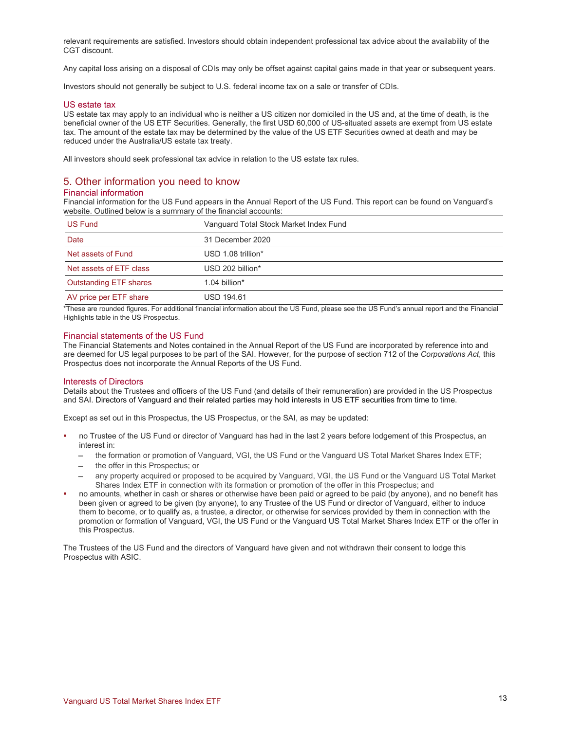relevant requirements are satisfied. Investors should obtain independent professional tax advice about the availability of the CGT discount.

Any capital loss arising on a disposal of CDIs may only be offset against capital gains made in that year or subsequent years.

Investors should not generally be subject to U.S. federal income tax on a sale or transfer of CDIs.

#### US estate tax

US estate tax may apply to an individual who is neither a US citizen nor domiciled in the US and, at the time of death, is the beneficial owner of the US ETF Securities. Generally, the first USD 60,000 of US-situated assets are exempt from US estate tax. The amount of the estate tax may be determined by the value of the US ETF Securities owned at death and may be reduced under the Australia/US estate tax treaty.

All investors should seek professional tax advice in relation to the US estate tax rules.

# 5. Other information you need to know

## Financial information

Financial information for the US Fund appears in the Annual Report of the US Fund. This report can be found on Vanguard's website. Outlined below is a summary of the financial accounts:

| <b>US Fund</b>                | Vanguard Total Stock Market Index Fund |
|-------------------------------|----------------------------------------|
| Date                          | 31 December 2020                       |
| Net assets of Fund            | USD 1.08 trillion*                     |
| Net assets of ETF class       | USD 202 billion*                       |
| <b>Outstanding ETF shares</b> | 1.04 billion $*$                       |
| AV price per ETF share        | <b>USD 194.61</b>                      |

\*These are rounded figures. For additional financial information about the US Fund, please see the US Fund's annual report and the Financial Highlights table in the US Prospectus.

#### Financial statements of the US Fund

The Financial Statements and Notes contained in the Annual Report of the US Fund are incorporated by reference into and are deemed for US legal purposes to be part of the SAI. However, for the purpose of section 712 of the *Corporations Act*, this Prospectus does not incorporate the Annual Reports of the US Fund.

#### Interests of Directors

Details about the Trustees and officers of the US Fund (and details of their remuneration) are provided in the US Prospectus and SAI. Directors of Vanguard and their related parties may hold interests in US ETF securities from time to time.

Except as set out in this Prospectus, the US Prospectus, or the SAI, as may be updated:

- no Trustee of the US Fund or director of Vanguard has had in the last 2 years before lodgement of this Prospectus, an interest in:
	- the formation or promotion of Vanguard, VGI, the US Fund or the Vanguard US Total Market Shares Index ETF;
	- the offer in this Prospectus; or
	- any property acquired or proposed to be acquired by Vanguard, VGI, the US Fund or the Vanguard US Total Market Shares Index ETF in connection with its formation or promotion of the offer in this Prospectus; and
- no amounts, whether in cash or shares or otherwise have been paid or agreed to be paid (by anyone), and no benefit has been given or agreed to be given (by anyone), to any Trustee of the US Fund or director of Vanguard, either to induce them to become, or to qualify as, a trustee, a director, or otherwise for services provided by them in connection with the promotion or formation of Vanguard, VGI, the US Fund or the Vanguard US Total Market Shares Index ETF or the offer in this Prospectus.

The Trustees of the US Fund and the directors of Vanguard have given and not withdrawn their consent to lodge this Prospectus with ASIC.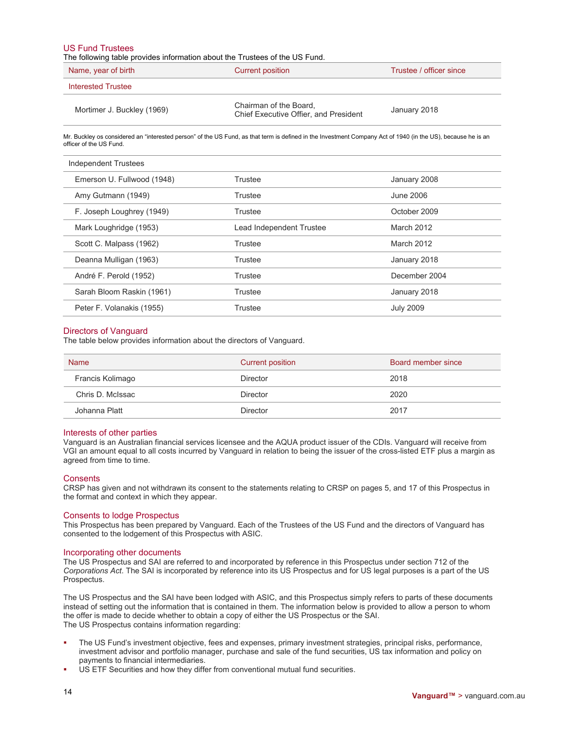#### US Fund Trustees

The following table provides information about the Trustees of the US Fund.

| Name, year of birth        | Current position                                                | Trustee / officer since |
|----------------------------|-----------------------------------------------------------------|-------------------------|
| Interested Trustee         |                                                                 |                         |
| Mortimer J. Buckley (1969) | Chairman of the Board,<br>Chief Executive Offier, and President | January 2018            |

Mr. Buckley os considered an "interested person" of the US Fund, as that term is defined in the Investment Company Act of 1940 (in the US), because he is an officer of the US Fund.

| Independent Trustees       |                          |                  |
|----------------------------|--------------------------|------------------|
| Emerson U. Fullwood (1948) | Trustee                  | January 2008     |
| Amy Gutmann (1949)         | Trustee                  | June 2006        |
| F. Joseph Loughrey (1949)  | Trustee                  | October 2009     |
| Mark Loughridge (1953)     | Lead Independent Trustee | March 2012       |
| Scott C. Malpass (1962)    | Trustee                  | March 2012       |
| Deanna Mulligan (1963)     | Trustee                  | January 2018     |
| André F. Perold (1952)     | Trustee                  | December 2004    |
| Sarah Bloom Raskin (1961)  | Trustee                  | January 2018     |
| Peter F. Volanakis (1955)  | Trustee                  | <b>July 2009</b> |

#### Directors of Vanguard

The table below provides information about the directors of Vanguard.

| <b>Name</b>      | <b>Current position</b> | Board member since |
|------------------|-------------------------|--------------------|
| Francis Kolimago | <b>Director</b>         | 2018               |
| Chris D. McIssac | <b>Director</b>         | 2020               |
| Johanna Platt    | <b>Director</b>         | 2017               |

#### Interests of other parties

Vanguard is an Australian financial services licensee and the AQUA product issuer of the CDIs. Vanguard will receive from VGI an amount equal to all costs incurred by Vanguard in relation to being the issuer of the cross-listed ETF plus a margin as agreed from time to time.

#### **Consents**

CRSP has given and not withdrawn its consent to the statements relating to CRSP on pages 5, and 17 of this Prospectus in the format and context in which they appear.

#### Consents to lodge Prospectus

This Prospectus has been prepared by Vanguard. Each of the Trustees of the US Fund and the directors of Vanguard has consented to the lodgement of this Prospectus with ASIC.

#### Incorporating other documents

The US Prospectus and SAI are referred to and incorporated by reference in this Prospectus under section 712 of the *Corporations Act*. The SAI is incorporated by reference into its US Prospectus and for US legal purposes is a part of the US Prospectus.

The US Prospectus and the SAI have been lodged with ASIC, and this Prospectus simply refers to parts of these documents instead of setting out the information that is contained in them. The information below is provided to allow a person to whom the offer is made to decide whether to obtain a copy of either the US Prospectus or the SAI. The US Prospectus contains information regarding:

- The US Fund's investment objective, fees and expenses, primary investment strategies, principal risks, performance, investment advisor and portfolio manager, purchase and sale of the fund securities, US tax information and policy on payments to financial intermediaries.
- US ETF Securities and how they differ from conventional mutual fund securities.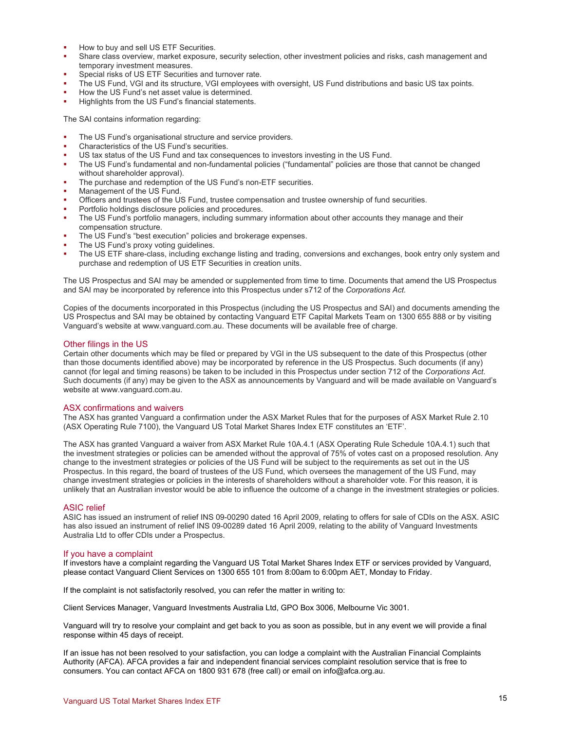- How to buy and sell US ETF Securities.
- Share class overview, market exposure, security selection, other investment policies and risks, cash management and temporary investment measures.
- Special risks of US ETF Securities and turnover rate.
- The US Fund, VGI and its structure, VGI employees with oversight, US Fund distributions and basic US tax points.
- How the US Fund's net asset value is determined.
- Highlights from the US Fund's financial statements.

The SAI contains information regarding:

- The US Fund's organisational structure and service providers.
- Characteristics of the US Fund's securities.
- US tax status of the US Fund and tax consequences to investors investing in the US Fund.
- The US Fund's fundamental and non-fundamental policies ("fundamental" policies are those that cannot be changed without shareholder approval).
- The purchase and redemption of the US Fund's non-ETF securities.
- Management of the US Fund.
- Officers and trustees of the US Fund, trustee compensation and trustee ownership of fund securities.
- Portfolio holdings disclosure policies and procedures.
- The US Fund's portfolio managers, including summary information about other accounts they manage and their compensation structure.
- The US Fund's "best execution" policies and brokerage expenses.
- The US Fund's proxy voting guidelines.
- The US ETF share-class, including exchange listing and trading, conversions and exchanges, book entry only system and purchase and redemption of US ETF Securities in creation units.

The US Prospectus and SAI may be amended or supplemented from time to time. Documents that amend the US Prospectus and SAI may be incorporated by reference into this Prospectus under s712 of the *Corporations Act.*

Copies of the documents incorporated in this Prospectus (including the US Prospectus and SAI) and documents amending the US Prospectus and SAI may be obtained by contacting Vanguard ETF Capital Markets Team on 1300 655 888 or by visiting Vanguard's website at www.vanguard.com.au. These documents will be available free of charge.

#### Other filings in the US

Certain other documents which may be filed or prepared by VGI in the US subsequent to the date of this Prospectus (other than those documents identified above) may be incorporated by reference in the US Prospectus. Such documents (if any) cannot (for legal and timing reasons) be taken to be included in this Prospectus under section 712 of the *Corporations Act*. Such documents (if any) may be given to the ASX as announcements by Vanguard and will be made available on Vanguard's website at www.vanguard.com.au.

#### ASX confirmations and waivers

The ASX has granted Vanguard a confirmation under the ASX Market Rules that for the purposes of ASX Market Rule 2.10 (ASX Operating Rule 7100), the Vanguard US Total Market Shares Index ETF constitutes an 'ETF'.

The ASX has granted Vanguard a waiver from ASX Market Rule 10A.4.1 (ASX Operating Rule Schedule 10A.4.1) such that the investment strategies or policies can be amended without the approval of 75% of votes cast on a proposed resolution. Any change to the investment strategies or policies of the US Fund will be subject to the requirements as set out in the US Prospectus. In this regard, the board of trustees of the US Fund, which oversees the management of the US Fund, may change investment strategies or policies in the interests of shareholders without a shareholder vote. For this reason, it is unlikely that an Australian investor would be able to influence the outcome of a change in the investment strategies or policies.

#### ASIC relief

ASIC has issued an instrument of relief INS 09-00290 dated 16 April 2009, relating to offers for sale of CDIs on the ASX. ASIC has also issued an instrument of relief INS 09-00289 dated 16 April 2009, relating to the ability of Vanguard Investments Australia Ltd to offer CDIs under a Prospectus.

#### If you have a complaint

If investors have a complaint regarding the Vanguard US Total Market Shares Index ETF or services provided by Vanguard, please contact Vanguard Client Services on 1300 655 101 from 8:00am to 6:00pm AET, Monday to Friday.

If the complaint is not satisfactorily resolved, you can refer the matter in writing to:

Client Services Manager, Vanguard Investments Australia Ltd, GPO Box 3006, Melbourne Vic 3001.

Vanguard will try to resolve your complaint and get back to you as soon as possible, but in any event we will provide a final response within 45 days of receipt.

If an issue has not been resolved to your satisfaction, you can lodge a complaint with the Australian Financial Complaints Authority (AFCA). AFCA provides a fair and independent financial services complaint resolution service that is free to consumers. You can contact AFCA on 1800 931 678 (free call) or email on info@afca.org.au.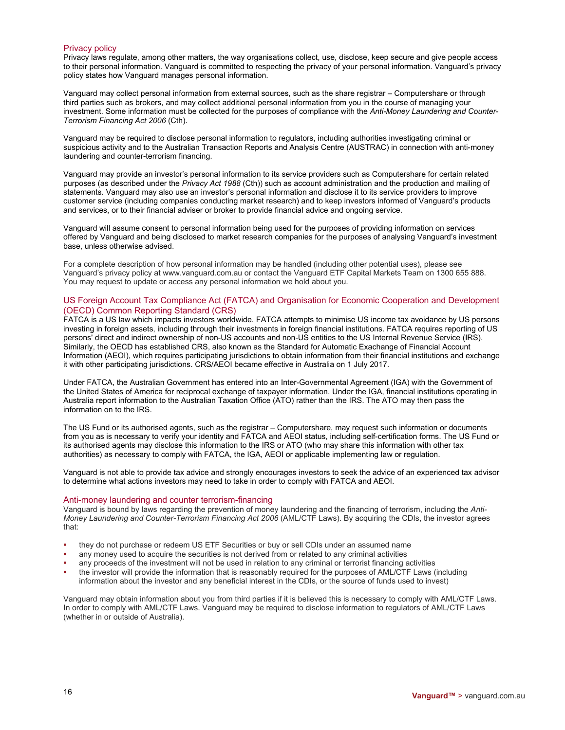## Privacy policy

Privacy laws regulate, among other matters, the way organisations collect, use, disclose, keep secure and give people access to their personal information. Vanguard is committed to respecting the privacy of your personal information. Vanguard's privacy policy states how Vanguard manages personal information.

Vanguard may collect personal information from external sources, such as the share registrar – Computershare or through third parties such as brokers, and may collect additional personal information from you in the course of managing your investment. Some information must be collected for the purposes of compliance with the *Anti-Money Laundering and Counter-Terrorism Financing Act 2006* (Cth).

Vanguard may be required to disclose personal information to regulators, including authorities investigating criminal or suspicious activity and to the Australian Transaction Reports and Analysis Centre (AUSTRAC) in connection with anti-money laundering and counter-terrorism financing.

Vanguard may provide an investor's personal information to its service providers such as Computershare for certain related purposes (as described under the *Privacy Act 1988* (Cth)) such as account administration and the production and mailing of statements. Vanguard may also use an investor's personal information and disclose it to its service providers to improve customer service (including companies conducting market research) and to keep investors informed of Vanguard's products and services, or to their financial adviser or broker to provide financial advice and ongoing service.

Vanguard will assume consent to personal information being used for the purposes of providing information on services offered by Vanguard and being disclosed to market research companies for the purposes of analysing Vanguard's investment base, unless otherwise advised.

For a complete description of how personal information may be handled (including other potential uses), please see Vanguard's privacy policy at www.vanguard.com.au or contact the Vanguard ETF Capital Markets Team on 1300 655 888. You may request to update or access any personal information we hold about you.

#### US Foreign Account Tax Compliance Act (FATCA) and Organisation for Economic Cooperation and Development (OECD) Common Reporting Standard (CRS)

FATCA is a US law which impacts investors worldwide. FATCA attempts to minimise US income tax avoidance by US persons investing in foreign assets, including through their investments in foreign financial institutions. FATCA requires reporting of US persons' direct and indirect ownership of non-US accounts and non-US entities to the US Internal Revenue Service (IRS). Similarly, the OECD has established CRS, also known as the Standard for Automatic Exachange of Financial Account Information (AEOI), which requires participating jurisdictions to obtain information from their financial institutions and exchange it with other participating jurisdictions. CRS/AEOI became effective in Australia on 1 July 2017.

Under FATCA, the Australian Government has entered into an Inter-Governmental Agreement (IGA) with the Government of the United States of America for reciprocal exchange of taxpayer information. Under the IGA, financial institutions operating in Australia report information to the Australian Taxation Office (ATO) rather than the IRS. The ATO may then pass the information on to the IRS.

The US Fund or its authorised agents, such as the registrar – Computershare, may request such information or documents from you as is necessary to verify your identity and FATCA and AEOI status, including self-certification forms. The US Fund or its authorised agents may disclose this information to the IRS or ATO (who may share this information with other tax authorities) as necessary to comply with FATCA, the IGA, AEOI or applicable implementing law or regulation.

Vanguard is not able to provide tax advice and strongly encourages investors to seek the advice of an experienced tax advisor to determine what actions investors may need to take in order to comply with FATCA and AEOI.

#### Anti-money laundering and counter terrorism-financing

Vanguard is bound by laws regarding the prevention of money laundering and the financing of terrorism, including the *Anti-Money Laundering and Counter-Terrorism Financing Act 2006* (AML/CTF Laws). By acquiring the CDIs, the investor agrees that:

- they do not purchase or redeem US ETF Securities or buy or sell CDIs under an assumed name
- any money used to acquire the securities is not derived from or related to any criminal activities
- any proceeds of the investment will not be used in relation to any criminal or terrorist financing activities
- the investor will provide the information that is reasonably required for the purposes of AML/CTF Laws (including information about the investor and any beneficial interest in the CDIs, or the source of funds used to invest)

Vanguard may obtain information about you from third parties if it is believed this is necessary to comply with AML/CTF Laws. In order to comply with AML/CTF Laws. Vanguard may be required to disclose information to regulators of AML/CTF Laws (whether in or outside of Australia).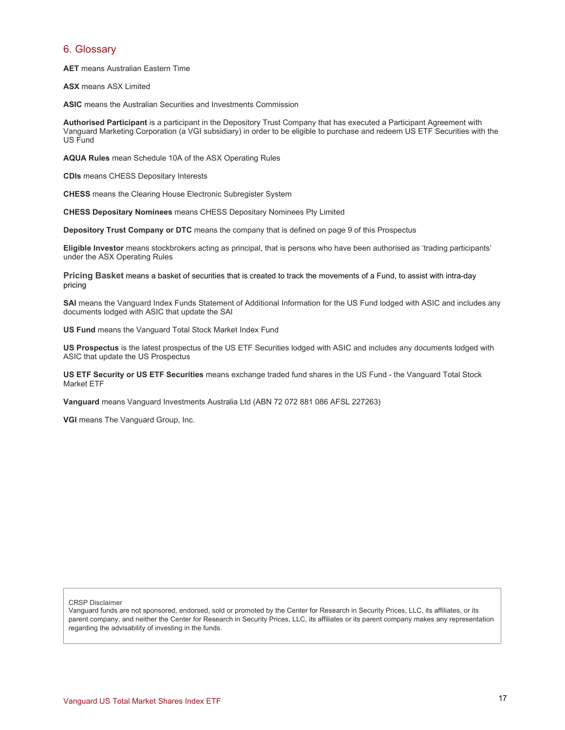## 6. Glossary

**AET** means Australian Eastern Time

**ASX** means ASX Limited

**ASIC** means the Australian Securities and Investments Commission

**Authorised Participant** is a participant in the Depository Trust Company that has executed a Participant Agreement with Vanguard Marketing Corporation (a VGI subsidiary) in order to be eligible to purchase and redeem US ETF Securities with the US Fund

**AQUA Rules** mean Schedule 10A of the ASX Operating Rules

**CDIs** means CHESS Depositary Interests

**CHESS** means the Clearing House Electronic Subregister System

**CHESS Depositary Nominees** means CHESS Depositary Nominees Pty Limited

**Depository Trust Company or DTC** means the company that is defined on page 9 of this Prospectus

**Eligible Investor** means stockbrokers acting as principal, that is persons who have been authorised as 'trading participants' under the ASX Operating Rules

**Pricing Basket** means a basket of securities that is created to track the movements of a Fund, to assist with intra-day pricing

**SAI** means the Vanguard Index Funds Statement of Additional Information for the US Fund lodged with ASIC and includes any documents lodged with ASIC that update the SAI

**US Fund** means the Vanguard Total Stock Market Index Fund

**US Prospectus** is the latest prospectus of the US ETF Securities lodged with ASIC and includes any documents lodged with ASIC that update the US Prospectus

**US ETF Security or US ETF Securities** means exchange traded fund shares in the US Fund - the Vanguard Total Stock Market ETF

**Vanguard** means Vanguard Investments Australia Ltd (ABN 72 072 881 086 AFSL 227263)

**VGI** means The Vanguard Group, Inc.

CRSP Disclaimer

Vanguard funds are not sponsored, endorsed, sold or promoted by the Center for Research in Security Prices, LLC, its affiliates, or its parent company, and neither the Center for Research in Security Prices, LLC, its affiliates or its parent company makes any representation regarding the advisability of investing in the funds.